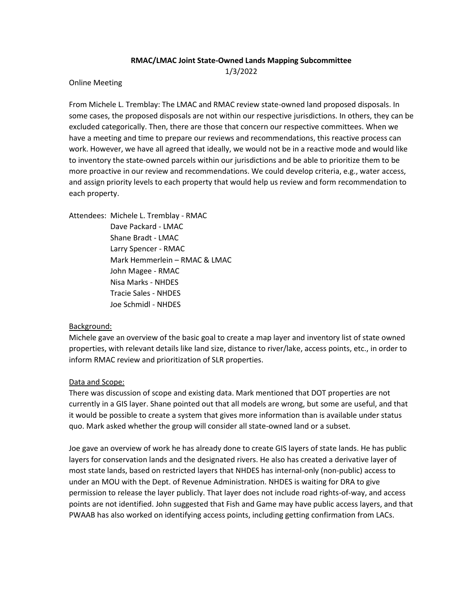### **RMAC/LMAC Joint State-Owned Lands Mapping Subcommittee** 1/3/2022

Online Meeting

From Michele L. Tremblay: The LMAC and RMAC review state-owned land proposed disposals. In some cases, the proposed disposals are not within our respective jurisdictions. In others, they can be excluded categorically. Then, there are those that concern our respective committees. When we have a meeting and time to prepare our reviews and recommendations, this reactive process can work. However, we have all agreed that ideally, we would not be in a reactive mode and would like to inventory the state-owned parcels within our jurisdictions and be able to prioritize them to be more proactive in our review and recommendations. We could develop criteria, e.g., water access, and assign priority levels to each property that would help us review and form recommendation to each property.

Attendees: Michele L. Tremblay - RMAC Dave Packard - LMAC Shane Bradt - LMAC Larry Spencer - RMAC Mark Hemmerlein – RMAC & LMAC John Magee - RMAC Nisa Marks - NHDES Tracie Sales - NHDES Joe Schmidl - NHDES

### Background:

Michele gave an overview of the basic goal to create a map layer and inventory list of state owned properties, with relevant details like land size, distance to river/lake, access points, etc., in order to inform RMAC review and prioritization of SLR properties.

### Data and Scope:

There was discussion of scope and existing data. Mark mentioned that DOT properties are not currently in a GIS layer. Shane pointed out that all models are wrong, but some are useful, and that it would be possible to create a system that gives more information than is available under status quo. Mark asked whether the group will consider all state-owned land or a subset.

Joe gave an overview of work he has already done to create GIS layers of state lands. He has public layers for conservation lands and the designated rivers. He also has created a derivative layer of most state lands, based on restricted layers that NHDES has internal-only (non-public) access to under an MOU with the Dept. of Revenue Administration. NHDES is waiting for DRA to give permission to release the layer publicly. That layer does not include road rights-of-way, and access points are not identified. John suggested that Fish and Game may have public access layers, and that PWAAB has also worked on identifying access points, including getting confirmation from LACs.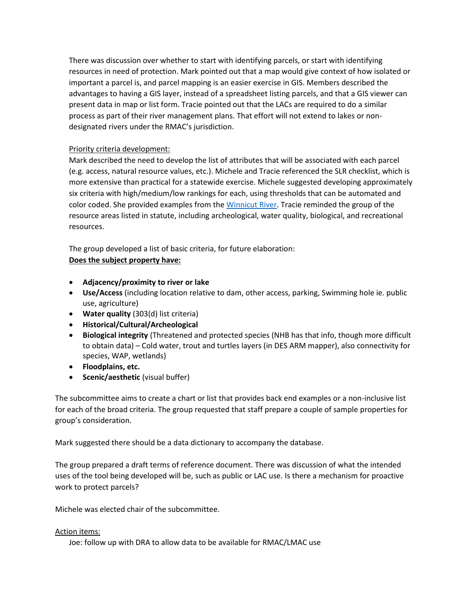There was discussion over whether to start with identifying parcels, or start with identifying resources in need of protection. Mark pointed out that a map would give context of how isolated or important a parcel is, and parcel mapping is an easier exercise in GIS. Members described the advantages to having a GIS layer, instead of a spreadsheet listing parcels, and that a GIS viewer can present data in map or list form. Tracie pointed out that the LACs are required to do a similar process as part of their river management plans. That effort will not extend to lakes or nondesignated rivers under the RMAC's jurisdiction.

## Priority criteria development:

Mark described the need to develop the list of attributes that will be associated with each parcel (e.g. access, natural resource values, etc.). Michele and Tracie referenced the SLR checklist, which is more extensive than practical for a statewide exercise. Michele suggested developing approximately six criteria with high/medium/low rankings for each, using thresholds that can be automated and color coded. She provided examples from th[e Winnicut River.](https://nhrivers.org/wp-content/uploads/2019/10/WinnicutRiverWRMP.pdf) Tracie reminded the group of the resource areas listed in statute, including archeological, water quality, biological, and recreational resources.

The group developed a list of basic criteria, for future elaboration:

# **Does the subject property have:**

- **Adjacency/proximity to river or lake**
- **Use/Access** (including location relative to dam, other access, parking, Swimming hole ie. public use, agriculture)
- **Water quality** (303(d) list criteria)
- **Historical/Cultural/Archeological**
- **Biological integrity** (Threatened and protected species (NHB has that info, though more difficult to obtain data) – Cold water, trout and turtles layers (in DES ARM mapper), also connectivity for species, WAP, wetlands)
- **Floodplains, etc.**
- **Scenic/aesthetic** (visual buffer)

The subcommittee aims to create a chart or list that provides back end examples or a non-inclusive list for each of the broad criteria. The group requested that staff prepare a couple of sample properties for group's consideration.

Mark suggested there should be a data dictionary to accompany the database.

The group prepared a draft terms of reference document. There was discussion of what the intended uses of the tool being developed will be, such as public or LAC use. Is there a mechanism for proactive work to protect parcels?

Michele was elected chair of the subcommittee.

### Action items:

Joe: follow up with DRA to allow data to be available for RMAC/LMAC use